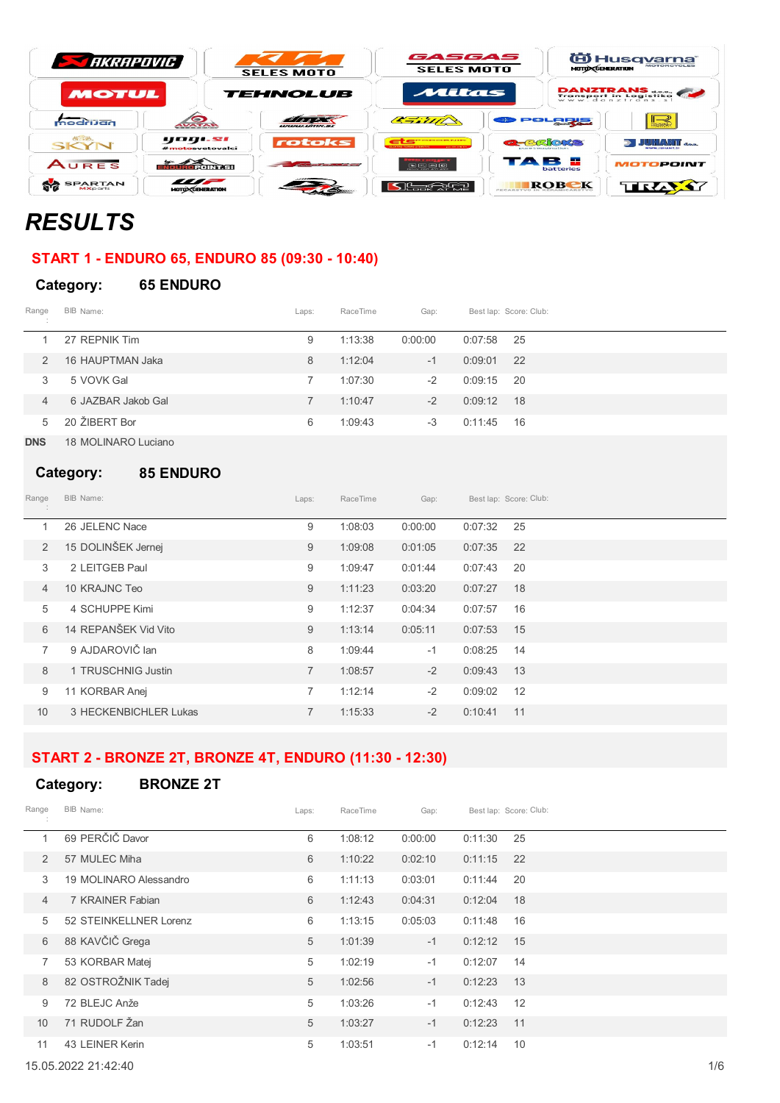| <b>STARRAPOVIC</b>               | <b>SELES MOTO</b>          |                                        | GASGAS<br><b>SELES MOTO</b>                             |                                                   | <sup>(ii)</sup> Husq <u>varna</u> ®<br><b>MOTORCYCLES</b><br><b>MOTO CGENERATION</b> |                       |  |
|----------------------------------|----------------------------|----------------------------------------|---------------------------------------------------------|---------------------------------------------------|--------------------------------------------------------------------------------------|-----------------------|--|
| <b>MOTUL</b>                     |                            | <b>TEHNOLUB</b>                        | Mitas                                                   |                                                   |                                                                                      | <b>DANZTRANS</b>      |  |
| modrijan                         | $\bullet$                  | LULULULUNING SI                        | $\alpha = 7777$                                         |                                                   | POLORIE                                                                              | ⊪⊰<br><b>1878 x</b>   |  |
| <b>CASO.</b><br>SKYN             | yogi.si<br>#motosvetovalci | rotoks                                 | <b>CONTRACTOR</b><br><b>CONTRACTOR</b>                  | <b>CHERORS</b><br>november is announcement in or- |                                                                                      | <b>DE JUNIANT</b> dag |  |
| AURES                            | <u> सामग्री र सेना सम्</u> | or of the control of the local control | $\sim$ $\sim$ $\sim$ $\sim$<br>CASTING CASES WITH WHICH | ТАВ 8                                             | <b>batteries</b>                                                                     | MOTOPOINT             |  |
| <b>SPARTAN</b><br><b>MXports</b> | un<br>MOTO CENERATION      |                                        | <b>Itageria</b>                                         |                                                   | ROBCK                                                                                | TRAY                  |  |

# *RESULTS*

# **START 1 - ENDURO 65, ENDURO 85 (09:30 - 10:40)**

#### **Category: 65 ENDURO**

| Range<br>$\sim$ | BIB Name:          | Laps: | RaceTime | Gap:    |         | Best lap: Score: Club: |
|-----------------|--------------------|-------|----------|---------|---------|------------------------|
|                 | 27 REPNIK Tim      | 9     | 1:13:38  | 0:00:00 | 0:07:58 | -25                    |
| $\mathcal{P}$   | 16 HAUPTMAN Jaka   | 8     | 1:12:04  | $-1$    | 0:09:01 | 22                     |
| 3               | 5 VOVK Gal         |       | 1:07:30  | $-2$    | 0:09:15 | -20                    |
| 4               | 6 JAZBAR Jakob Gal |       | 1:10:47  | $-2$    | 0:09:12 | - 18                   |
| 5               | 20 ŽIBERT Bor      | 6     | 1:09:43  | $-3$    | 0:11:45 | - 16                   |

**DNS** 18 MOLINARO Luciano

#### **Category: 85 ENDURO**

| Range          | BIB Name:             | Laps:          | RaceTime | Gap:    |         | Best lap: Score: Club: |
|----------------|-----------------------|----------------|----------|---------|---------|------------------------|
| 1              | 26 JELENC Nace        | 9              | 1:08:03  | 0:00:00 | 0:07:32 | 25                     |
| $\overline{2}$ | 15 DOLINŠEK Jernej    | 9              | 1:09:08  | 0:01:05 | 0:07:35 | 22                     |
| 3              | 2 LEITGEB Paul        | 9              | 1:09:47  | 0:01:44 | 0:07:43 | 20                     |
| $\overline{4}$ | 10 KRAJNC Teo         | 9              | 1:11:23  | 0:03:20 | 0:07:27 | 18                     |
| 5              | 4 SCHUPPE Kimi        | 9              | 1:12:37  | 0:04:34 | 0:07:57 | 16                     |
| 6              | 14 REPANŠEK Vid Vito  | 9              | 1:13:14  | 0:05:11 | 0:07:53 | 15                     |
| $\overline{7}$ | 9 AJDAROVIČ lan       | 8              | 1:09:44  | $-1$    | 0:08:25 | 14                     |
| 8              | 1 TRUSCHNIG Justin    | $\overline{7}$ | 1:08:57  | $-2$    | 0:09:43 | 13                     |
| 9              | 11 KORBAR Anej        | 7              | 1:12:14  | $-2$    | 0:09:02 | 12                     |
| 10             | 3 HECKENBICHLER Lukas | $\overline{7}$ | 1:15:33  | $-2$    | 0:10:41 | 11                     |

## **START 2 - BRONZE 2T, BRONZE 4T, ENDURO (11:30 - 12:30)**

### **Category: BRONZE 2T**

| Range          | BIB Name:              | Laps: | RaceTime | Gap:    |         | Best lap: Score: Club: |
|----------------|------------------------|-------|----------|---------|---------|------------------------|
| 1              | 69 PERČIČ Davor        | 6     | 1:08:12  | 0:00:00 | 0:11:30 | 25                     |
| 2              | 57 MULEC Miha          | 6     | 1:10:22  | 0:02:10 | 0:11:15 | 22                     |
| 3              | 19 MOLINARO Alessandro | 6     | 1:11:13  | 0:03:01 | 0:11:44 | 20                     |
| $\overline{4}$ | 7 KRAINER Fabian       | 6     | 1:12:43  | 0:04:31 | 0:12:04 | 18                     |
| 5              | 52 STEINKELLNER Lorenz | 6     | 1:13:15  | 0:05:03 | 0:11:48 | 16                     |
| 6              | 88 KAVČIČ Grega        | 5     | 1:01:39  | $-1$    | 0:12:12 | 15                     |
| 7              | 53 KORBAR Matej        | 5     | 1:02:19  | $-1$    | 0:12:07 | 14                     |
| 8              | 82 OSTROŽNIK Tadej     | 5     | 1:02:56  | $-1$    | 0:12:23 | 13                     |
| 9              | 72 BLEJC Anže          | 5     | 1:03:26  | $-1$    | 0:12:43 | 12                     |
| 10             | 71 RUDOLF Žan          | 5     | 1:03:27  | $-1$    | 0:12:23 | 11                     |
| 11             | 43 LEINER Kerin        | 5     | 1:03:51  | $-1$    | 0:12:14 | 10                     |

15.05.2022 21:42:40 1/6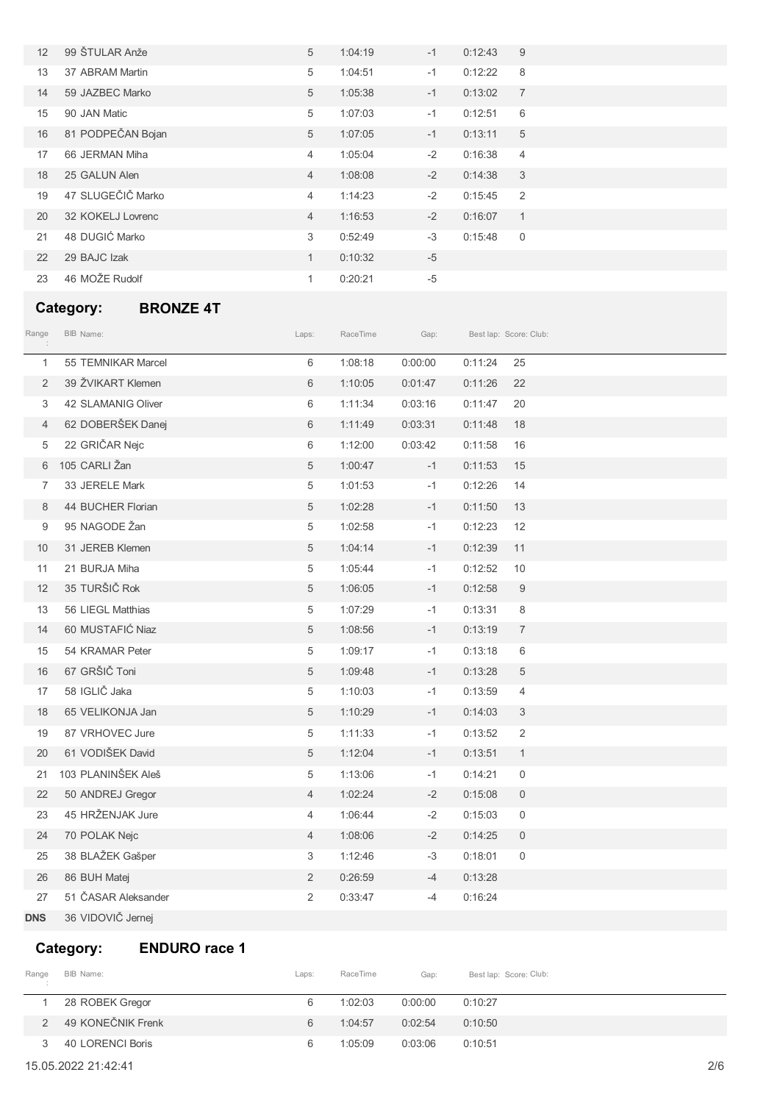| 12 | 99 ŠTULAR Anže    | 5              | 1:04:19 | $-1$ | 0:12:43 | 9              |
|----|-------------------|----------------|---------|------|---------|----------------|
| 13 | 37 ABRAM Martin   | 5              | 1:04:51 | $-1$ | 0:12:22 | 8              |
| 14 | 59 JAZBEC Marko   | 5              | 1:05:38 | $-1$ | 0:13:02 | 7              |
| 15 | 90 JAN Matic      | 5              | 1:07:03 | $-1$ | 0:12:51 | 6              |
| 16 | 81 PODPEČAN Bojan | 5              | 1:07:05 | $-1$ | 0:13:11 | 5              |
| 17 | 66 JERMAN Miha    | 4              | 1:05:04 | $-2$ | 0:16:38 | $\overline{4}$ |
| 18 | 25 GALUN Alen     | $\overline{4}$ | 1:08:08 | $-2$ | 0:14:38 | 3              |
| 19 | 47 SLUGEČIČ Marko | 4              | 1:14:23 | $-2$ | 0:15:45 | 2              |
| 20 | 32 KOKELJ Lovrenc | $\overline{4}$ | 1:16:53 | $-2$ | 0:16:07 | $\overline{1}$ |
| 21 | 48 DUGIĆ Marko    | 3              | 0:52:49 | $-3$ | 0:15:48 | $\overline{0}$ |
| 22 | 29 BAJC Izak      | 1              | 0:10:32 | $-5$ |         |                |
| 23 | 46 MOŽE Rudolf    | 1              | 0:20:21 | $-5$ |         |                |

## **Category: BRONZE 4T**

| Range          | BIB Name:           | Laps:          | RaceTime | Gap:    |         | Best lap: Score: Club: |  |
|----------------|---------------------|----------------|----------|---------|---------|------------------------|--|
| $\mathbf{1}$   | 55 TEMNIKAR Marcel  | 6              | 1:08:18  | 0:00:00 | 0:11:24 | 25                     |  |
| $\overline{2}$ | 39 ŽVIKART Klemen   | 6              | 1:10:05  | 0:01:47 | 0:11:26 | 22                     |  |
| 3              | 42 SLAMANIG Oliver  | 6              | 1:11:34  | 0:03:16 | 0:11:47 | 20                     |  |
| $\overline{4}$ | 62 DOBERŠEK Danej   | 6              | 1:11:49  | 0:03:31 | 0:11:48 | 18                     |  |
| 5              | 22 GRIČAR Nejc      | 6              | 1:12:00  | 0:03:42 | 0:11:58 | 16                     |  |
| 6              | 105 CARLI Žan       | 5              | 1:00:47  | $-1$    | 0:11:53 | 15                     |  |
| 7              | 33 JERELE Mark      | 5              | 1:01:53  | $-1$    | 0:12:26 | 14                     |  |
| 8              | 44 BUCHER Florian   | 5              | 1:02:28  | $-1$    | 0:11:50 | 13                     |  |
| 9              | 95 NAGODE Žan       | 5              | 1:02:58  | $-1$    | 0:12:23 | 12                     |  |
| 10             | 31 JEREB Klemen     | 5              | 1:04:14  | $-1$    | 0:12:39 | 11                     |  |
| 11             | 21 BURJA Miha       | 5              | 1:05:44  | $-1$    | 0:12:52 | 10                     |  |
| 12             | 35 TURŠIČ Rok       | $\,$ 5 $\,$    | 1:06:05  | $-1$    | 0:12:58 | $\boldsymbol{9}$       |  |
| 13             | 56 LIEGL Matthias   | 5              | 1:07:29  | $-1$    | 0:13:31 | 8                      |  |
| 14             | 60 MUSTAFIĆ Niaz    | 5              | 1:08:56  | $-1$    | 0:13:19 | $\overline{7}$         |  |
| 15             | 54 KRAMAR Peter     | 5              | 1:09:17  | $-1$    | 0:13:18 | 6                      |  |
| 16             | 67 GRŠIČ Toni       | 5              | 1:09:48  | $-1$    | 0:13:28 | 5                      |  |
| 17             | 58 IGLIČ Jaka       | 5              | 1:10:03  | $-1$    | 0:13:59 | 4                      |  |
| 18             | 65 VELIKONJA Jan    | 5              | 1:10:29  | $-1$    | 0:14:03 | $\mathfrak{Z}$         |  |
| 19             | 87 VRHOVEC Jure     | 5              | 1:11:33  | $-1$    | 0:13:52 | 2                      |  |
| 20             | 61 VODIŠEK David    | 5              | 1:12:04  | $-1$    | 0:13:51 | $\mathbf{1}$           |  |
| 21             | 103 PLANINŠEK Aleš  | 5              | 1:13:06  | $-1$    | 0:14:21 | $\mathsf{O}\xspace$    |  |
| 22             | 50 ANDREJ Gregor    | 4              | 1:02:24  | $-2$    | 0:15:08 | $\mathsf{O}$           |  |
| 23             | 45 HRŽENJAK Jure    | 4              | 1:06:44  | $-2$    | 0:15:03 | $\mathsf 0$            |  |
| 24             | 70 POLAK Nejc       | 4              | 1:08:06  | $-2$    | 0:14:25 | $\mathbf{0}$           |  |
| 25             | 38 BLAŽEK Gašper    | 3              | 1:12:46  | $-3$    | 0:18:01 | $\mathbf 0$            |  |
| 26             | 86 BUH Matej        | $\overline{2}$ | 0:26:59  | $-4$    | 0:13:28 |                        |  |
| 27             | 51 ČASAR Aleksander | $\overline{2}$ | 0:33:47  | $-4$    | 0:16:24 |                        |  |
| <b>DNS</b>     | 36 VIDOVIČ Jernej   |                |          |         |         |                        |  |

# **Category: ENDURO race 1**

| Range | BIB Name:         | Laps: | RaceTime | Gap:    | Best lap: Score: Club: |
|-------|-------------------|-------|----------|---------|------------------------|
|       | 28 ROBEK Gregor   | 6     | 1:02:03  | 0:00:00 | 0:10:27                |
|       | 49 KONEČNIK Frenk | 6     | 1:04:57  | 0:02:54 | 0:10:50                |
|       | 40 LORENCI Boris  | 6     | 1:05:09  | 0:03:06 | 0:10:51                |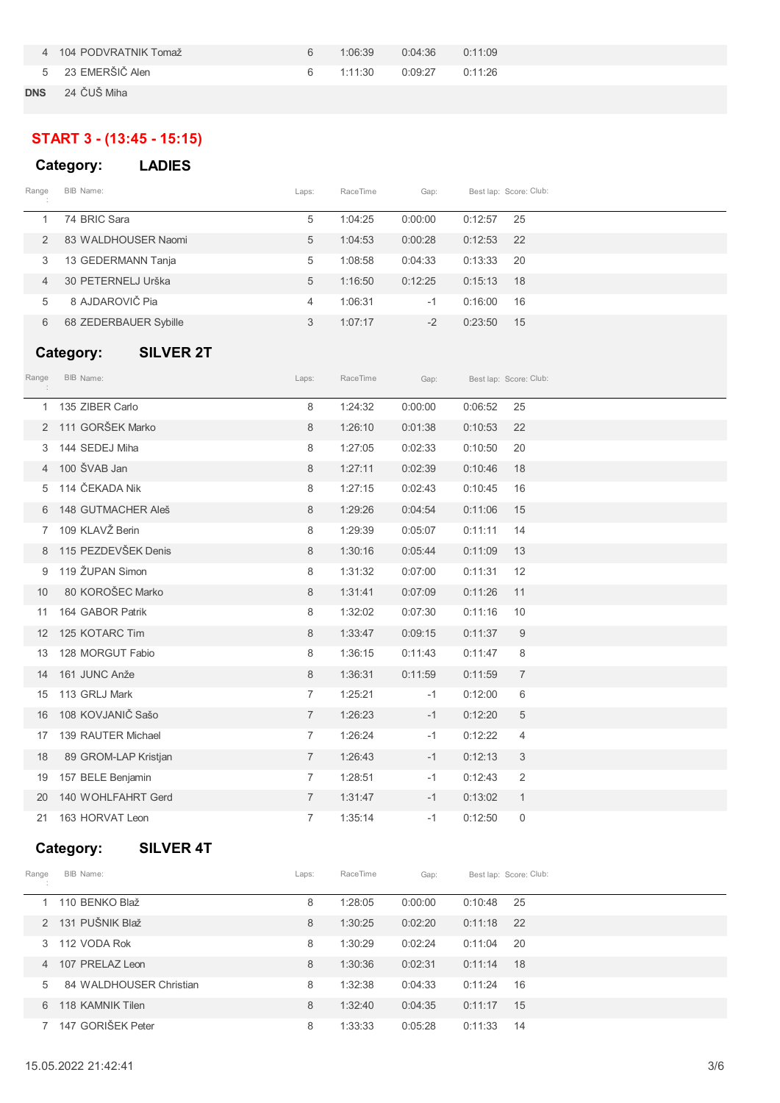|            | 4 104 PODVRATNIK Tomaž | 6 | 1:06:39 | $0:04:36$ $0:11:09$ |  |
|------------|------------------------|---|---------|---------------------|--|
|            | 5 23 EMERŠIČ Alen      | 6 | 1:11:30 | $0:09:27$ $0:11:26$ |  |
| <b>DNS</b> | 24 ČUŠ Miha            |   |         |                     |  |

# **START 3 - (13:45 - 15:15)**

|       | Category:             | <b>LADIES</b> |                |          |         |         |                        |
|-------|-----------------------|---------------|----------------|----------|---------|---------|------------------------|
| Range | BIB Name:             |               | Laps:          | RaceTime | Gap:    |         | Best lap: Score: Club: |
|       | 74 BRIC Sara          |               | 5              | 1:04:25  | 0:00:00 | 0:12:57 | 25                     |
| 2     | 83 WALDHOUSER Naomi   |               | 5              | 1:04:53  | 0:00:28 | 0:12:53 | 22                     |
| 3     | 13 GEDERMANN Tanja    |               | 5              | 1:08:58  | 0:04:33 | 0:13:33 | -20                    |
| 4     | 30 PETERNELJ Urška    |               | 5              | 1:16:50  | 0:12:25 | 0:15:13 | 18                     |
| 5     | 8 AJDAROVIČ Pia       |               | $\overline{4}$ | 1:06:31  | $-1$    | 0:16:00 | 16                     |
| 6     | 68 ZEDERBAUER Sybille |               | 3              | 1:07:17  | $-2$    | 0:23:50 | 15                     |

## **Category: SILVER 2T**

| Range | BIB Name:            | Laps:          | RaceTime | Gap:    |         | Best lap: Score: Club: |
|-------|----------------------|----------------|----------|---------|---------|------------------------|
| 1     | 135 ZIBER Carlo      | 8              | 1:24:32  | 0:00:00 | 0:06:52 | 25                     |
| 2     | 111 GORŠEK Marko     | 8              | 1:26:10  | 0:01:38 | 0:10:53 | 22                     |
| 3     | 144 SEDEJ Miha       | 8              | 1:27:05  | 0:02:33 | 0:10:50 | 20                     |
|       | 100 ŠVAB Jan         | 8              | 1:27:11  | 0:02:39 | 0:10:46 | 18                     |
| 5     | 114 ČEKADA Nik       | 8              | 1:27:15  | 0:02:43 | 0:10:45 | 16                     |
| 6     | 148 GUTMACHER Aleš   | 8              | 1:29:26  | 0:04:54 | 0:11:06 | 15                     |
| 7     | 109 KLAVŽ Berin      | 8              | 1:29:39  | 0:05:07 | 0:11:11 | 14                     |
| 8     | 115 PEZDEVŠEK Denis  | 8              | 1:30:16  | 0:05:44 | 0:11:09 | 13                     |
| 9     | 119 ŽUPAN Simon      | 8              | 1:31:32  | 0:07:00 | 0:11:31 | 12                     |
| 10    | 80 KOROŠEC Marko     | 8              | 1:31:41  | 0:07:09 | 0:11:26 | 11                     |
| 11    | 164 GABOR Patrik     | 8              | 1:32:02  | 0:07:30 | 0:11:16 | 10                     |
| 12    | 125 KOTARC Tim       | 8              | 1:33:47  | 0:09:15 | 0:11:37 | 9                      |
| 13    | 128 MORGUT Fabio     | 8              | 1:36:15  | 0:11:43 | 0:11:47 | 8                      |
| 14    | 161 JUNC Anže        | 8              | 1:36:31  | 0:11:59 | 0:11:59 | $\overline{7}$         |
| 15    | 113 GRLJ Mark        | $\overline{7}$ | 1:25:21  | $-1$    | 0:12:00 | 6                      |
| 16    | 108 KOVJANIČ Sašo    | $\overline{7}$ | 1:26:23  | $-1$    | 0:12:20 | 5                      |
| 17    | 139 RAUTER Michael   | $\overline{7}$ | 1:26:24  | $-1$    | 0:12:22 | $\overline{4}$         |
| 18    | 89 GROM-LAP Kristjan | $\overline{7}$ | 1:26:43  | $-1$    | 0:12:13 | 3                      |
| 19    | 157 BELE Benjamin    | $\overline{7}$ | 1:28:51  | $-1$    | 0:12:43 | $\overline{2}$         |
| 20    | 140 WOHLFAHRT Gerd   | $\overline{7}$ | 1:31:47  | $-1$    | 0:13:02 | $\mathbf{1}$           |
| 21    | 163 HORVAT Leon      | $\overline{7}$ | 1:35:14  | $-1$    | 0:12:50 | 0                      |

# **Category: SILVER 4T**

| Range          | BIB Name:               | Laps: | RaceTime | Gap:    |         | Best lap: Score: Club: |
|----------------|-------------------------|-------|----------|---------|---------|------------------------|
|                | 110 BENKO Blaž          | 8     | 1:28:05  | 0:00:00 | 0:10:48 | -25                    |
| $\mathcal{P}$  | 131 PUŠNIK Blaž         | 8     | 1:30:25  | 0:02:20 | 0:11:18 | 22                     |
| 3              | 112 VODA Rok            | 8     | 1:30:29  | 0:02:24 | 0:11:04 | 20                     |
| $\overline{4}$ | 107 PRELAZ Leon         | 8     | 1:30:36  | 0:02:31 | 0:11:14 | 18                     |
| 5              | 84 WALDHOUSER Christian | 8     | 1:32:38  | 0:04:33 | 0:11:24 | 16                     |
| 6              | 118 KAMNIK Tilen        | 8     | 1:32:40  | 0:04:35 | 0:11:17 | 15                     |
|                | 147 GORIŠEK Peter       | 8     | 1:33:33  | 0:05:28 | 0:11:33 | 14                     |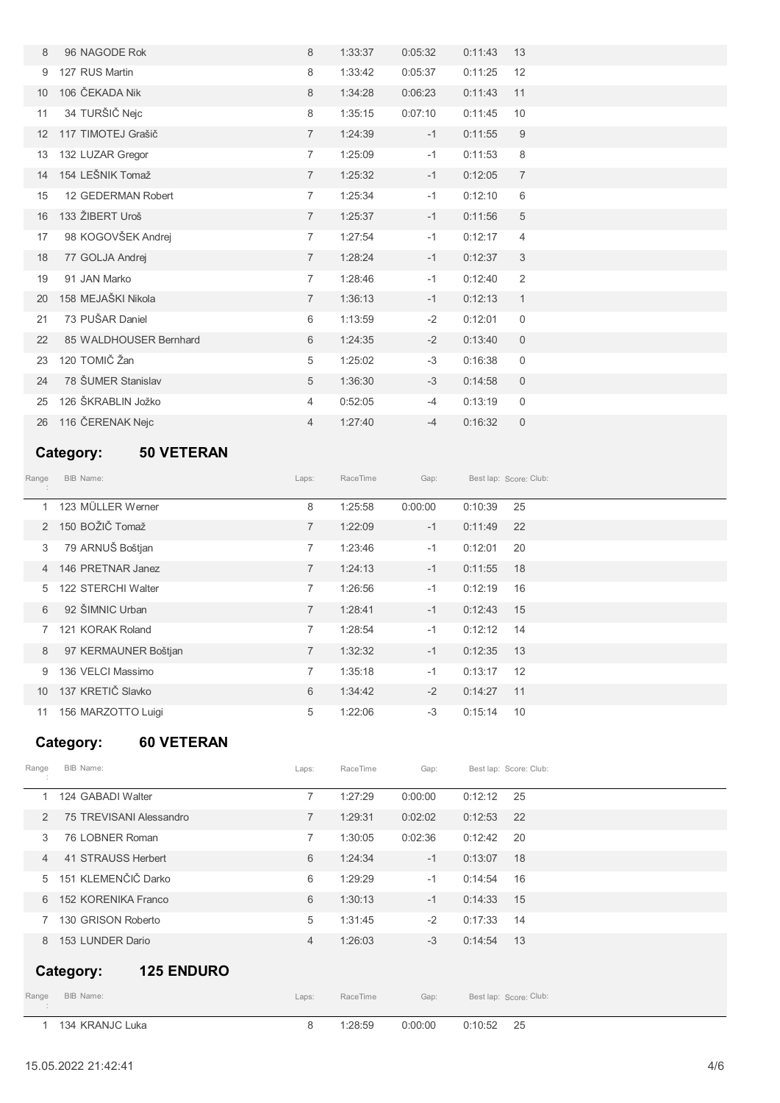| 8               | 96 NAGODE Rok          | 8              | 1:33:37 | 0:05:32 | 0:11:43 | 13                  |
|-----------------|------------------------|----------------|---------|---------|---------|---------------------|
| 9               | 127 RUS Martin         | 8              | 1:33:42 | 0:05:37 | 0:11:25 | 12                  |
| 10 <sup>1</sup> | 106 ČEKADA Nik         | 8              | 1:34:28 | 0:06:23 | 0:11:43 | 11                  |
| 11              | 34 TURŠIČ Nejc         | 8              | 1:35:15 | 0:07:10 | 0:11:45 | 10                  |
| 12              | 117 TIMOTEJ Grašič     | $\overline{7}$ | 1:24:39 | $-1$    | 0:11:55 | 9                   |
| 13              | 132 LUZAR Gregor       | $\overline{7}$ | 1:25:09 | $-1$    | 0:11:53 | 8                   |
| 14              | 154 LEŠNIK Tomaž       | $\overline{7}$ | 1:25:32 | $-1$    | 0:12:05 | $\overline{7}$      |
| 15              | 12 GEDERMAN Robert     | $\overline{7}$ | 1:25:34 | $-1$    | 0:12:10 | 6                   |
| 16              | 133 ŽIBERT Uroš        | $\overline{7}$ | 1:25:37 | $-1$    | 0:11:56 | 5                   |
| 17              | 98 KOGOVŠEK Andrej     | $\overline{7}$ | 1:27:54 | $-1$    | 0:12:17 | $\overline{4}$      |
| 18              | 77 GOLJA Andrej        | $\overline{7}$ | 1:28:24 | $-1$    | 0:12:37 | 3                   |
| 19              | 91 JAN Marko           | $\overline{7}$ | 1:28:46 | $-1$    | 0:12:40 | 2                   |
| 20              | 158 MEJAŠKI Nikola     | $\overline{7}$ | 1:36:13 | $-1$    | 0:12:13 | $\mathbf{1}$        |
| 21              | 73 PUŠAR Daniel        | 6              | 1:13:59 | $-2$    | 0:12:01 | $\mathbf 0$         |
| 22              | 85 WALDHOUSER Bernhard | 6              | 1:24:35 | $-2$    | 0:13:40 | $\mathsf{O}\xspace$ |
| 23              | 120 TOMIČ Žan          | 5              | 1:25:02 | $-3$    | 0:16:38 | $\mathbf 0$         |
| 24              | 78 ŠUMER Stanislav     | 5              | 1:36:30 | $-3$    | 0:14:58 | $\mathbf 0$         |
| 25              | 126 ŠKRABLIN Jožko     | 4              | 0:52:05 | $-4$    | 0:13:19 | 0                   |
| 26              | 116 ČERENAK Nejc       | $\overline{4}$ | 1:27:40 | $-4$    | 0:16:32 | $\mathsf{O}\xspace$ |

# **Category: 50 VETERAN**

| Range         | BIB Name:            | Laps:          | RaceTime | Gap:    |         | Best lap: Score: Club: |
|---------------|----------------------|----------------|----------|---------|---------|------------------------|
| $\mathbf{1}$  | 123 MÜLLER Werner    | 8              | 1:25:58  | 0:00:00 | 0:10:39 | 25                     |
| $\mathcal{P}$ | 150 BOŽIČ Tomaž      | $\overline{7}$ | 1:22:09  | $-1$    | 0:11:49 | 22                     |
| 3             | 79 ARNUŠ Boštjan     | $\overline{7}$ | 1:23:46  | $-1$    | 0:12:01 | 20                     |
| 4             | 146 PRETNAR Janez    | $\overline{7}$ | 1:24:13  | $-1$    | 0:11:55 | 18                     |
| 5             | 122 STERCHI Walter   | 7              | 1:26:56  | $-1$    | 0:12:19 | 16                     |
| 6             | 92 ŠIMNIC Urban      | $\overline{7}$ | 1:28:41  | $-1$    | 0:12:43 | 15                     |
| 7             | 121 KORAK Roland     | $\overline{7}$ | 1:28:54  | $-1$    | 0:12:12 | 14                     |
| 8             | 97 KERMAUNER Boštjan | $\overline{7}$ | 1:32:32  | $-1$    | 0:12:35 | 13                     |
| 9             | 136 VELCI Massimo    | $\overline{7}$ | 1:35:18  | $-1$    | 0:13:17 | 12                     |
| 10            | 137 KRETIČ Slavko    | 6              | 1:34:42  | $-2$    | 0:14:27 | 11                     |
| 11            | 156 MARZOTTO Luigi   | 5              | 1:22:06  | $-3$    | 0:15:14 | 10                     |

# **Category: 60 VETERAN**

|                | 134 KRANJC Luka                | 8              | 1:28:59  | 0:00:00 | 25<br>0:10:52          |  |
|----------------|--------------------------------|----------------|----------|---------|------------------------|--|
| Range          | BIB Name:                      | Laps:          | RaceTime | Gap:    | Best lap: Score: Club: |  |
|                | <b>125 ENDURO</b><br>Category: |                |          |         |                        |  |
| 8              | 153 LUNDER Dario               | $\overline{4}$ | 1:26:03  | $-3$    | 0:14:54<br>13          |  |
|                | 130 GRISON Roberto             | 5              | 1:31:45  | $-2$    | 0:17:33<br>14          |  |
| 6              | 152 KORENIKA Franco            | 6              | 1:30:13  | $-1$    | 15<br>0:14:33          |  |
| 5              | 151 KLEMENČIČ Darko            | 6              | 1:29:29  | $-1$    | 0:14:54<br>16          |  |
| $\overline{4}$ | 41 STRAUSS Herbert             | 6              | 1:24:34  | $-1$    | 0:13:07<br>18          |  |
| 3              | 76 LOBNER Roman                | $\overline{7}$ | 1:30:05  | 0:02:36 | 0:12:42<br>20          |  |
| $\mathcal{P}$  | 75 TREVISANI Alessandro        | $\overline{7}$ | 1:29:31  | 0:02:02 | 22<br>0:12:53          |  |
|                | 124 GABADI Walter              | $\overline{7}$ | 1:27:29  | 0:00:00 | 0:12:12<br>25          |  |
| Range          | BIB Name:                      | Laps:          | RaceTime | Gap:    | Best lap: Score: Club: |  |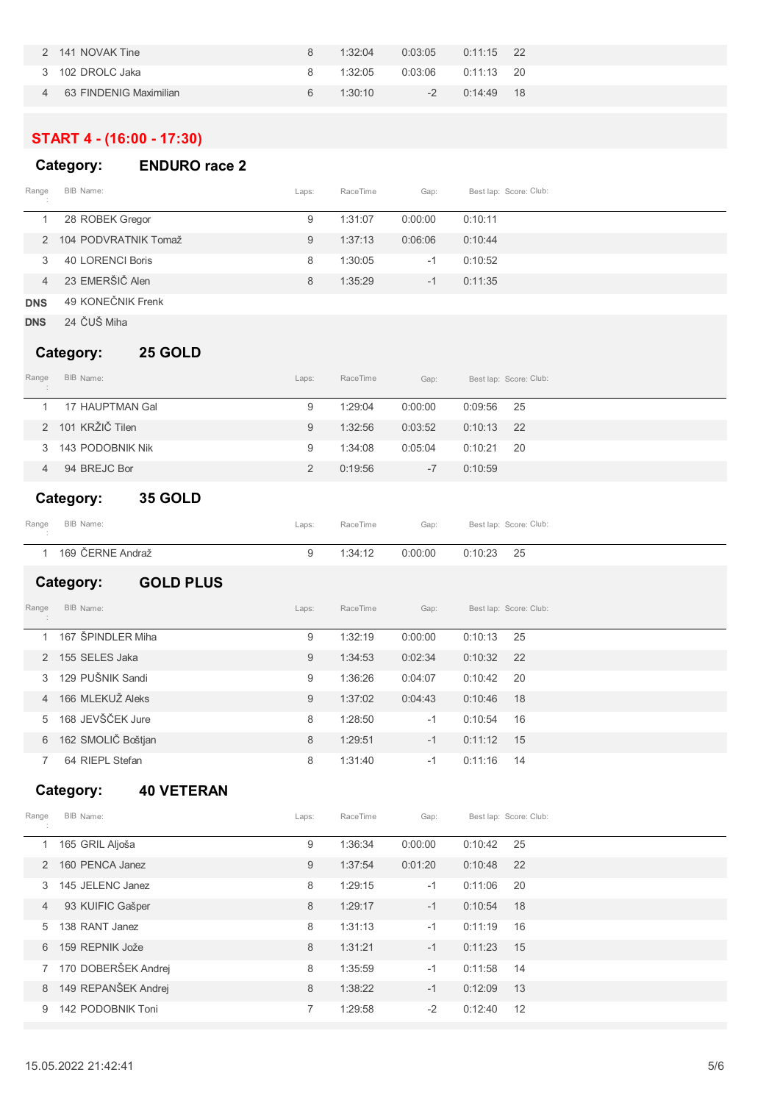|   | 2 141 NOVAK Tine       | 8  | 1:32:04 | $0:03:05$ $0:11:15$ 22 |              |  |
|---|------------------------|----|---------|------------------------|--------------|--|
|   | 3 102 DROLC Jaka       | 8. | 1:32:05 | $0:03:06$ $0:11:13$ 20 |              |  |
| 4 | 63 FINDENIG Maximilian | 6  | 1:30:10 | $-2$                   | $0:14:49$ 18 |  |
|   |                        |    |         |                        |              |  |

### **START 4 - (16:00 - 17:30)**

### **Category: ENDURO race 2**

| Range<br>$\sim$ | BIB Name:              | Laps: | RaceTime | Gap:    | Best lap: Score: Club: |  |
|-----------------|------------------------|-------|----------|---------|------------------------|--|
|                 | 28 ROBEK Gregor        | 9     | 1:31:07  | 0:00:00 | 0:10:11                |  |
|                 | 2 104 PODVRATNIK Tomaž | 9     | 1:37:13  | 0:06:06 | 0:10:44                |  |
|                 | 40 LORENCI Boris       | 8     | 1:30:05  | $-1$    | 0:10:52                |  |
| 4               | 23 EMERŠIČ Alen        | 8     | 1:35:29  | $-1$    | 0:11:35                |  |
|                 |                        |       |          |         |                        |  |

- **DNS** 49 KONEČNIK Frenk
- **DNS** 24 ČUŠ Miha

#### **Category: 25 GOLD**

| Range<br>$\sim$ | BIB Name:                   | Laps:          | RaceTime | Gap:    |         | Best lap: Score: Club: |  |  |
|-----------------|-----------------------------|----------------|----------|---------|---------|------------------------|--|--|
|                 | 17 HAUPTMAN Gal             | 9              | 1:29:04  | 0:00:00 | 0:09:56 | - 25                   |  |  |
| $\mathcal{P}$   | 101 KRŽIČ Tilen             | 9              | 1:32:56  | 0:03:52 | 0:10:13 | 22                     |  |  |
| 3               | 143 PODOBNIK Nik            | 9              | 1:34:08  | 0:05:04 | 0:10:21 | -20                    |  |  |
| 4               | 94 BREJC Bor                | $\overline{2}$ | 0:19:56  | $-7$    | 0:10:59 |                        |  |  |
|                 | <b>35 GOLD</b><br>Category: |                |          |         |         |                        |  |  |

| Range | BIB Name:        | Laps: | RaceTime | Gap:               | Best lap: Score: Club: |
|-------|------------------|-------|----------|--------------------|------------------------|
|       | 169 ČERNE Andraž |       | 1:34:12  | 0:00:00 0:10:23 25 |                        |

#### **Category: GOLD PLUS**

| Range         | BIB Name:          | Laps: | RaceTime | Gap:    |         | Best lap: Score: Club: |
|---------------|--------------------|-------|----------|---------|---------|------------------------|
|               | 167 ŠPINDLER Miha  | 9     | 1:32:19  | 0:00:00 | 0:10:13 | 25                     |
| $\mathcal{P}$ | 155 SELES Jaka     | 9     | 1:34:53  | 0:02:34 | 0:10:32 | 22                     |
| 3             | 129 PUŠNIK Sandi   | 9     | 1:36:26  | 0:04:07 | 0:10:42 | 20                     |
| 4             | 166 MLEKUŽ Aleks   | 9     | 1:37:02  | 0:04:43 | 0:10:46 | 18                     |
| 5             | 168 JEVŠČEK Jure   | 8     | 1:28:50  | $-1$    | 0:10:54 | 16                     |
| 6             | 162 SMOLIČ Boštjan | 8     | 1:29:51  | $-1$    | 0:11:12 | 15                     |
|               | 64 RIEPL Stefan    | 8     | 1:31:40  | $-1$    | 0:11:16 | 14                     |

### **Category: 40 VETERAN**

| Range          | BIB Name:           | Laps: | RaceTime | Gap:    |         | Best lap: Score: Club: |
|----------------|---------------------|-------|----------|---------|---------|------------------------|
|                | 165 GRIL Aljoša     | 9     | 1:36:34  | 0:00:00 | 0:10:42 | 25                     |
| 2              | 160 PENCA Janez     | 9     | 1:37:54  | 0:01:20 | 0:10:48 | 22                     |
| 3              | 145 JELENC Janez    | 8     | 1:29:15  | $-1$    | 0:11:06 | 20                     |
| $\overline{4}$ | 93 KUIFIC Gašper    | 8     | 1:29:17  | $-1$    | 0:10:54 | 18                     |
| 5              | 138 RANT Janez      | 8     | 1:31:13  | $-1$    | 0:11:19 | 16                     |
| 6              | 159 REPNIK Jože     | 8     | 1:31:21  | $-1$    | 0:11:23 | 15                     |
| $7^{\circ}$    | 170 DOBERŠEK Andrej | 8     | 1:35:59  | $-1$    | 0:11:58 | 14                     |
| 8              | 149 REPANŠEK Andrej | 8     | 1:38:22  | $-1$    | 0:12:09 | 13                     |
| 9              | 142 PODOBNIK Toni   | 7     | 1:29:58  | $-2$    | 0:12:40 | 12                     |